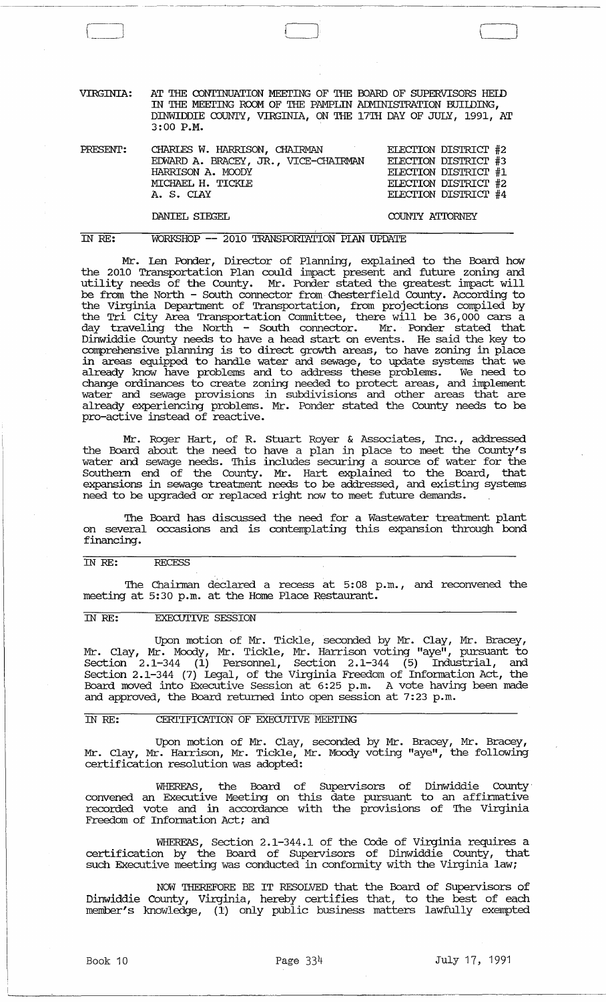VIRGINIA: AT THE CONTINUATION MEETING OF THE BOARD OF SUPERVISORS HEID IN THE MEETING ROOM OF THE PAMPLIN ADMINISTRATION BUILDING, DINWIDDIE COUNTY, VIRGINIA, ON THE 17TH DAY OF JULY, 1991, AT 3:00 P.M.

l~.

--------~-~-----------,-------------------~------

| PRESENT: | CHARLES W. HARRISON, CHAIRMAN        | ELECTION DISTRICT #2 |
|----------|--------------------------------------|----------------------|
|          | EDWARD A. BRACEY, JR., VICE-CHAIRMAN | ELECTION DISTRICT #3 |
|          | HARRISON A. MOODY                    | ELECTION DISTRICT #1 |
|          | MICHAEL H. TICKLE                    | ELECTION DISTRICT #2 |
|          | A. S. CIAY                           | ELECTION DISTRICT #4 |
|          |                                      |                      |

DANIEL SIEGEL

### COUNTY ATIDRNEY

 $\int$ 

IN *RE:* 

 $\begin{array}{|c|c|} \hline \hline \hline \hline \hline \hline \hline \end{array}$ 

WORKSHOP -- 2010 TRANSPORTATION PIAN UPDATE

Mr. Len Ponder, Director of Planning, explained to the Board how the 2010 Transportation Plan could impact present and future zoning and utility needs of the County. Mr. Ponder stated the greatest impact will be from the North - South connector from Chesterfield County. According to the Virginia Department of Transportation, from projections compiled by the Tri City Area Transportation Committee, there will be 36,000 cars a day traveling the North - South connector. Mr. Ponder stated that Dinwiddie County needs to have a head start on events. He said the key to comprehensive planning is to direct growth areas, to have zoning in place in areas equipped to handle water and sewage, to update systems that we already know have problems and to address these problems. We need to change ordinances to create zoning needed to protect areas, and implement water and sewage provisions in subdivisions and other areas that are already experiencing problems. Mr. Ponder stated the County needs to be pro-active instead of reactive.

Mr. Roger Hart, of R. stuart Royer & Associates, Inc., addressed the Board about the need to have a plan in place to meet the County's water and sewage needs. This includes securing a source of water for the Southern end of the County. Mr. Hart explained to the Board, that expansions in sewage treatment needs to be addressed, and existing systems need to be upgraded or replaced right now to meet future demands.

The Board has discussed the need for a Wastewater treatment plant on several occasions and is contemplating this expansion through bond financing.

### IN *RE: RECESS*

The Chairman declared a recess at 5:08 p.m., and reconvened the meeting at 5:30 p.m. at the Home Place Restaurant.

#### IN *RE:* EXECUTIVE SESSION

Upon motion of Mr. Tickle, seconded by Mr. Clay, Mr. Bracey, Mr. Clay, Mr. Moody, Mr. Tickle, Mr. Harrison voting "aye", pursuant to Section 2.1-344 (1) Personnel, Section 2.1-344 (5) Industrial, and section 2.1-344 (7) legal, of the Virginia Freedom of Infonuation Act, the Board moved into Executive Session at 6:25 p.m. A vote having been made and approved, the Board returned into open session at 7:23 p.m.

# IN RE: CERTIFICATION OF EXECUTIVE MEETING

Upon motion of Mr. Clay, seconded by Mr. Bracey, Mr. Bracey, Mr. Clay, Mr. Harrison, Mr. Tickle, Mr. Moody voting "aye", the following certification resolution was adopted:

WHEREAS, the Board of Supervisors of Dinwiddie County· convened an Executive Meeting on this date pursuant to an affinuative recorded vote and in accordance with the provisions of The Virginia Freedom of Information Act; and

WHEREAS, section 2.1-344.1 of the Code of Virginia requires a certification by the Board of Supervisors of Dinwiddie County, that such Executive meeting was conducted in conformity with the Virginia law;

NOW THEREFORE BE IT RESOLVED that the Board of Supervisors of Dinwiddie County, Virginia, hereby certifies that, to the best of each member's knowledge, (1:) only public business matters lawfully exempted